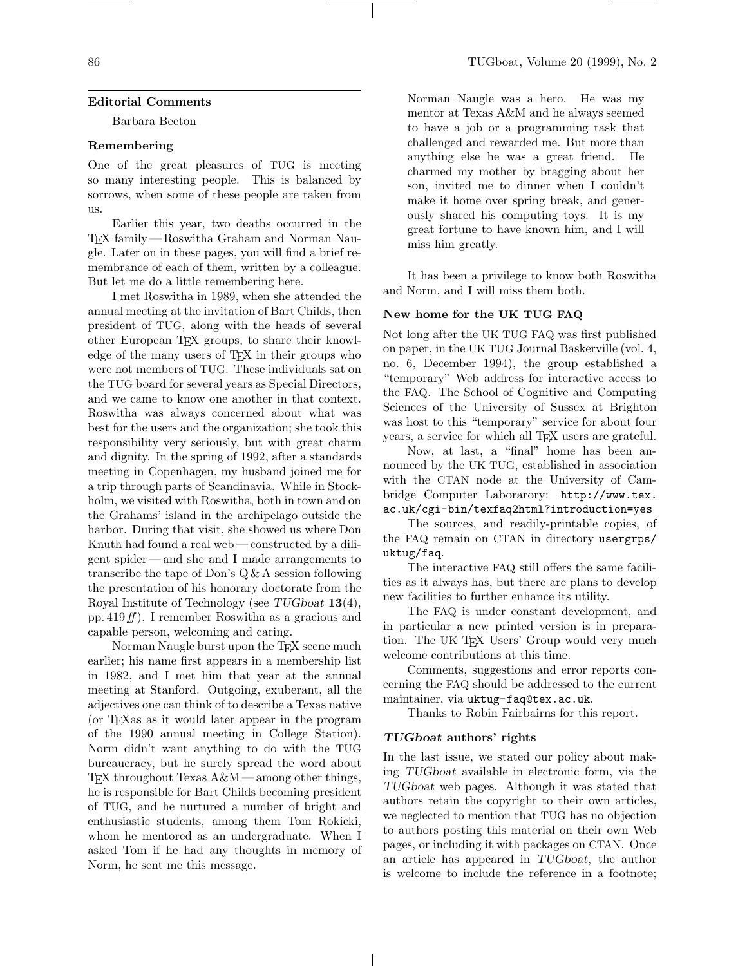## **Editorial Comments**

Barbara Beeton

### **Remembering**

One of the great pleasures of TUG is meeting so many interesting people. This is balanced by sorrows, when some of these people are taken from us.

Earlier this year, two deaths occurred in the TEX family — Roswitha Graham and Norman Naugle. Later on in these pages, you will find a brief remembrance of each of them, written by a colleague. But let me do a little remembering here.

I met Roswitha in 1989, when she attended the annual meeting at the invitation of Bart Childs, then president of TUG, along with the heads of several other European TEX groups, to share their knowledge of the many users of TEX in their groups who were not members of TUG. These individuals sat on the TUG board for several years as Special Directors, and we came to know one another in that context. Roswitha was always concerned about what was best for the users and the organization; she took this responsibility very seriously, but with great charm and dignity. In the spring of 1992, after a standards meeting in Copenhagen, my husband joined me for a trip through parts of Scandinavia. While in Stockholm, we visited with Roswitha, both in town and on the Grahams' island in the archipelago outside the harbor. During that visit, she showed us where Don Knuth had found a real web— constructed by a diligent spider— and she and I made arrangements to transcribe the tape of Don's Q & A session following the presentation of his honorary doctorate from the Royal Institute of Technology (see TUGboat **13**(4), pp. 419 $f$ ). I remember Roswitha as a gracious and capable person, welcoming and caring.

Norman Naugle burst upon the T<sub>EX</sub> scene much earlier; his name first appears in a membership list in 1982, and I met him that year at the annual meeting at Stanford. Outgoing, exuberant, all the adjectives one can think of to describe a Texas native (or TEXas as it would later appear in the program of the 1990 annual meeting in College Station). Norm didn't want anything to do with the TUG bureaucracy, but he surely spread the word about TEX throughout Texas A&M— among other things, he is responsible for Bart Childs becoming president of TUG, and he nurtured a number of bright and enthusiastic students, among them Tom Rokicki, whom he mentored as an undergraduate. When I asked Tom if he had any thoughts in memory of Norm, he sent me this message.

Norman Naugle was a hero. He was my mentor at Texas A&M and he always seemed to have a job or a programming task that challenged and rewarded me. But more than anything else he was a great friend. He charmed my mother by bragging about her son, invited me to dinner when I couldn't make it home over spring break, and generously shared his computing toys. It is my great fortune to have known him, and I will miss him greatly.

It has been a privilege to know both Roswitha and Norm, and I will miss them both.

### **New home for the UK TUG FAQ**

Not long after the UK TUG FAQ was first published on paper, in the UK TUG Journal Baskerville (vol. 4, no. 6, December 1994), the group established a "temporary" Web address for interactive access to the FAQ. The School of Cognitive and Computing Sciences of the University of Sussex at Brighton was host to this "temporary" service for about four years, a service for which all TEX users are grateful.

Now, at last, a "final" home has been announced by the UK TUG, established in association with the CTAN node at the University of Cambridge Computer Laborarory: http://www.tex. ac.uk/cgi-bin/texfaq2html?introduction=yes

The sources, and readily-printable copies, of the FAQ remain on CTAN in directory usergrps/ uktug/faq.

The interactive FAQ still offers the same facilities as it always has, but there are plans to develop new facilities to further enhance its utility.

The FAQ is under constant development, and in particular a new printed version is in preparation. The UK T<sub>F</sub>X Users' Group would very much welcome contributions at this time.

Comments, suggestions and error reports concerning the FAQ should be addressed to the current maintainer, via uktug-faq@tex.ac.uk.

Thanks to Robin Fairbairns for this report.

## *TUGboat* **authors' rights**

In the last issue, we stated our policy about making TUGboat available in electronic form, via the TUGboat web pages. Although it was stated that authors retain the copyright to their own articles, we neglected to mention that TUG has no objection to authors posting this material on their own Web pages, or including it with packages on CTAN. Once an article has appeared in TUGboat, the author is welcome to include the reference in a footnote;